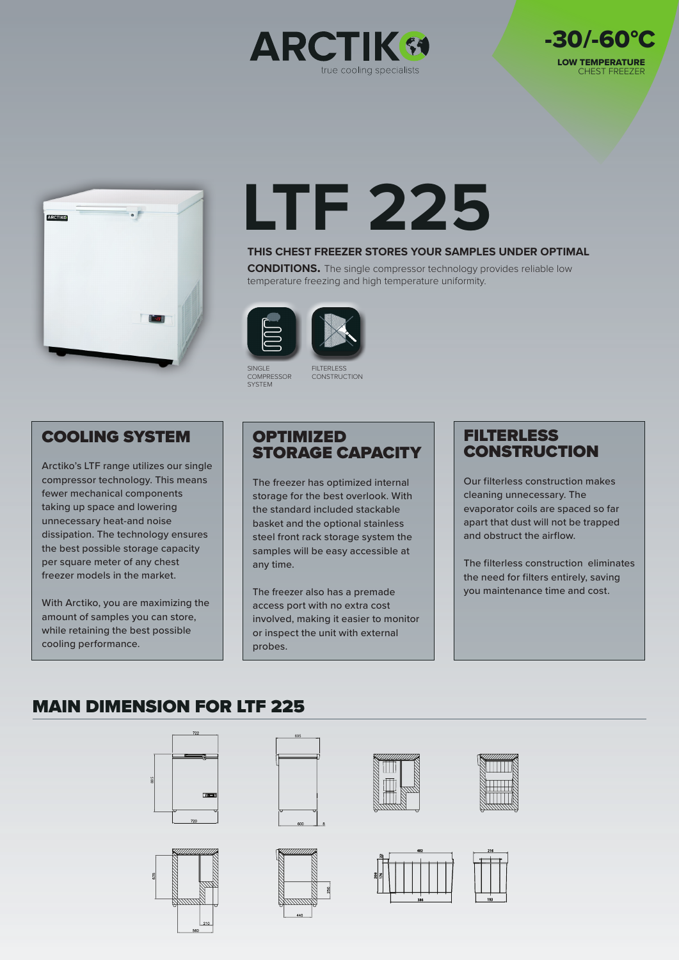





# COOLING SYSTEM

Arctiko's LTF range utilizes our single compressor technology. This means fewer mechanical components taking up space and lowering unnecessary heat-and noise dissipation. The technology ensures the best possible storage capacity per square meter of any chest freezer models in the market.

With Arctiko, you are maximizing the amount of samples you can store, while retaining the best possible cooling performance.

# **LTF 225**

#### **THIS CHEST FREEZER STORES YOUR SAMPLES UNDER OPTIMAL**

**CONDITIONS.** The single compressor technology provides reliable low temperature freezing and high temperature uniformity.



SINGLE COMPRESSOR SYSTEM

**FILTERLESS CONSTRUCTION** 

### **OPTIMIZED** STORAGE CAPACITY

The freezer has optimized internal storage for the best overlook. With the standard included stackable basket and the optional stainless steel front rack storage system the samples will be easy accessible at any time.

The freezer also has a premade access port with no extra cost involved, making it easier to monitor or inspect the unit with external probes.

## **FILTERLESS CONSTRUCTION**

Our filterless construction makes cleaning unnecessary. The evaporator coils are spaced so far apart that dust will not be trapped and obstruct the airflow.

The filterless construction eliminates the need for filters entirely, saving you maintenance time and cost.

## MAIN DIMENSION FOR LTF 225